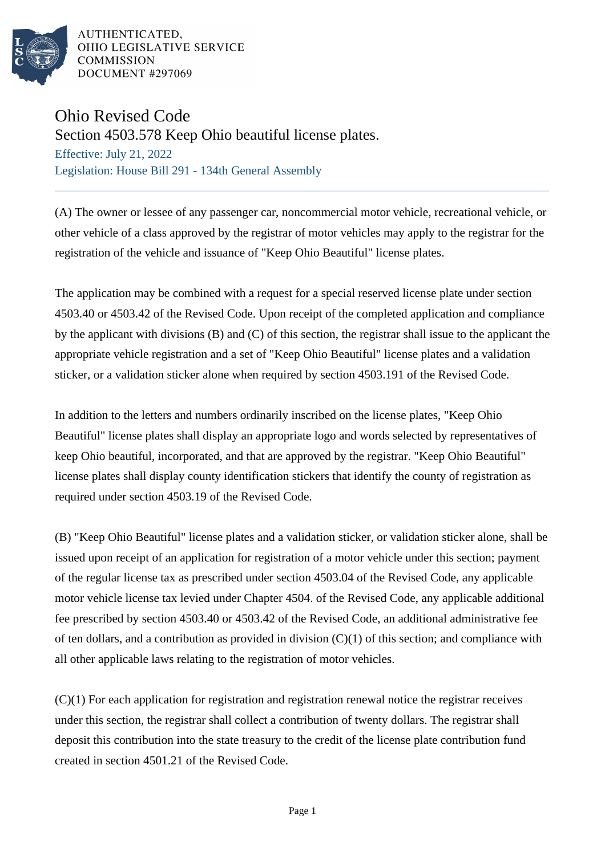

AUTHENTICATED. OHIO LEGISLATIVE SERVICE **COMMISSION** DOCUMENT #297069

## Ohio Revised Code

Section 4503.578 Keep Ohio beautiful license plates.

Effective: July 21, 2022 Legislation: House Bill 291 - 134th General Assembly

(A) The owner or lessee of any passenger car, noncommercial motor vehicle, recreational vehicle, or other vehicle of a class approved by the registrar of motor vehicles may apply to the registrar for the registration of the vehicle and issuance of "Keep Ohio Beautiful" license plates.

The application may be combined with a request for a special reserved license plate under section 4503.40 or 4503.42 of the Revised Code. Upon receipt of the completed application and compliance by the applicant with divisions (B) and (C) of this section, the registrar shall issue to the applicant the appropriate vehicle registration and a set of "Keep Ohio Beautiful" license plates and a validation sticker, or a validation sticker alone when required by section 4503.191 of the Revised Code.

In addition to the letters and numbers ordinarily inscribed on the license plates, "Keep Ohio Beautiful" license plates shall display an appropriate logo and words selected by representatives of keep Ohio beautiful, incorporated, and that are approved by the registrar. "Keep Ohio Beautiful" license plates shall display county identification stickers that identify the county of registration as required under section 4503.19 of the Revised Code.

(B) "Keep Ohio Beautiful" license plates and a validation sticker, or validation sticker alone, shall be issued upon receipt of an application for registration of a motor vehicle under this section; payment of the regular license tax as prescribed under section 4503.04 of the Revised Code, any applicable motor vehicle license tax levied under Chapter 4504. of the Revised Code, any applicable additional fee prescribed by section 4503.40 or 4503.42 of the Revised Code, an additional administrative fee of ten dollars, and a contribution as provided in division (C)(1) of this section; and compliance with all other applicable laws relating to the registration of motor vehicles.

(C)(1) For each application for registration and registration renewal notice the registrar receives under this section, the registrar shall collect a contribution of twenty dollars. The registrar shall deposit this contribution into the state treasury to the credit of the license plate contribution fund created in section 4501.21 of the Revised Code.